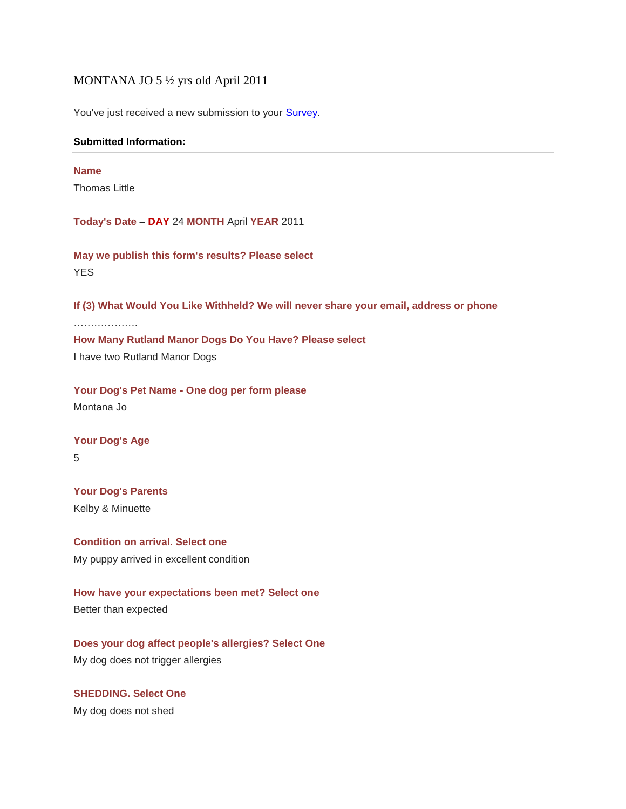### MONTANA JO 5 ½ yrs old April 2011

You've just received a new submission to your **Survey**.

### **Submitted Information:**

#### **Name**

Thomas Little

**Today's Date – DAY** 24 **MONTH** April **YEAR** 2011

**May we publish this form's results? Please select YES** 

**If (3) What Would You Like Withheld? We will never share your email, address or phone**

…………………

# **How Many Rutland Manor Dogs Do You Have? Please select**

I have two Rutland Manor Dogs

**Your Dog's Pet Name - One dog per form please** Montana Jo

**Your Dog's Age** 5

**Your Dog's Parents**  Kelby & Minuette

**Condition on arrival. Select one** My puppy arrived in excellent condition

**How have your expectations been met? Select one** Better than expected

**Does your dog affect people's allergies? Select One** My dog does not trigger allergies

**SHEDDING. Select One** My dog does not shed